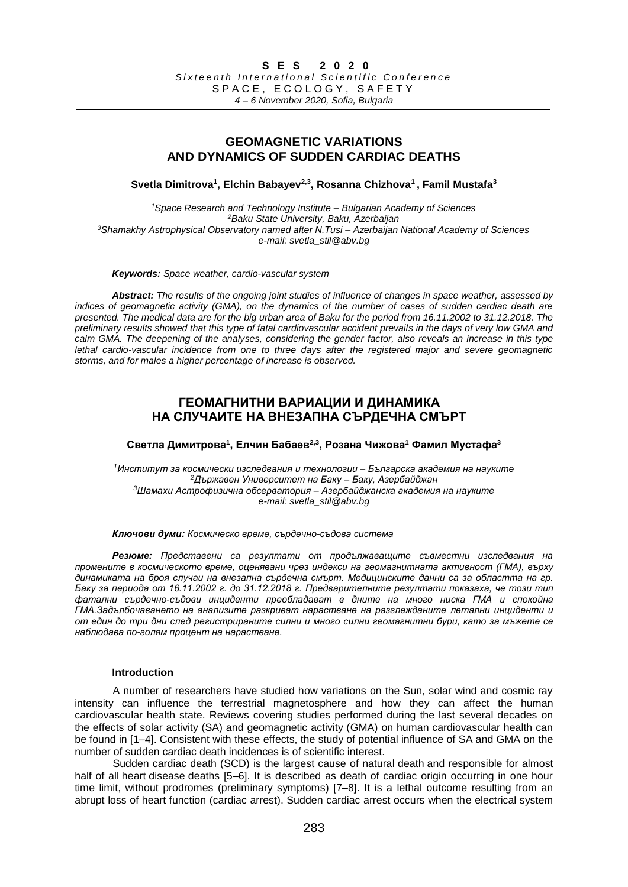## **GEOMAGNETIC VARIATIONS AND DYNAMICS OF SUDDEN CARDIAC DEATHS**

**Svetla Dimitrova<sup>1</sup> , Elchin Babayev2,3 , Rosanna Chizhova<sup>1</sup> , Famil Mustafa<sup>3</sup>**

*Space Research and Technology Institute – Bulgarian Academy of Sciences Baku State University, Baku, Azerbaijan Shamakhy Astrophysical Observatory named after N.Tusi – Azerbaijan National Academy of Sciences e-mail: svetla\_stil@abv.bg*

*Keywords: Space weather, cardio-vascular system*

*Abstract: The results of the ongoing joint studies of influence of changes in space weather, assessed by indices of geomagnetic activity (GMA), on the dynamics of the number of cases of sudden cardiac death are presented. The medical data are for the big urban area of Baku for the period from 16.11.2002 to 31.12.2018. The preliminary results showed that this type of fatal cardiovascular accident prevails in the days of very low GMA and calm GMA. The deepening of the analyses, considering the gender factor, also reveals an increase in this type lethal cardio-vascular incidence from one to three days after the registered major and severe geomagnetic storms, and for males a higher percentage of increase is observed.*

# **ГЕОМАГНИТНИ ВАРИАЦИИ И ДИНАМИКА НА СЛУЧАИТЕ НА ВНЕЗАПНА СЪРДЕЧНА СМЪРТ**

**Светла Димитрова<sup>1</sup> , Елчин Бабаев2,3 , Розана Чижова<sup>1</sup> Фамил Мустафа<sup>3</sup>**

*Институт за космически изследвания и технологии – Българска академия на науките Държавен Университет на Баку – Баку, Азербайджан Шамахи Астрофизична обсерватория – Азербайджанска академия на науките e-mail: svetla\_stil@abv.bg*

*Ключови думи: Космическо време, сърдечно-съдова система*

*Резюме: Представени са резултати от продължаващите съвместни изследвания на промените в космическото време, оценявани чрез индекси на геомагнитната активност (ГМА), върху динамиката на броя случаи на внезапна сърдечна смърт. Медицинските данни са за областта на гр. Баку за периода от 16.11.2002 г. до 31.12.2018 г. Предварителните резултати показаха, че този тип фатални сърдечно-съдови инциденти преобладават в дните на много ниска ГМА и спокойна ГМА.Задълбочаването на анализите разкриват нарастване на разглежданите летални инциденти и от един до три дни след регистрираните силни и много силни геомагнитни бури, като за мъжете се наблюдава по-голям процент на нарастване.*

### **Introduction**

A number of researchers have studied how variations on the Sun, solar wind and cosmic ray intensity can influence the terrestrial magnetosphere and how they can affect the human cardiovascular health state. Reviews covering studies performed during the last several decades on the effects of solar activity (SA) and geomagnetic activity (GMA) on human cardiovascular health can be found in [1–4]. Consistent with these effects, the study of potential influence of SA and GMA on the number of sudden cardiac death incidences is of scientific interest.

Sudden cardiac death (SCD) is the largest cause of natural death and responsible for almost half of all heart disease deaths [5–6]. It is described as death of cardiac origin occurring in one hour time limit, without prodromes (preliminary symptoms) [7–8]. It is a lethal outcome resulting from an abrupt loss of heart function (cardiac arrest). Sudden cardiac arrest occurs when the electrical system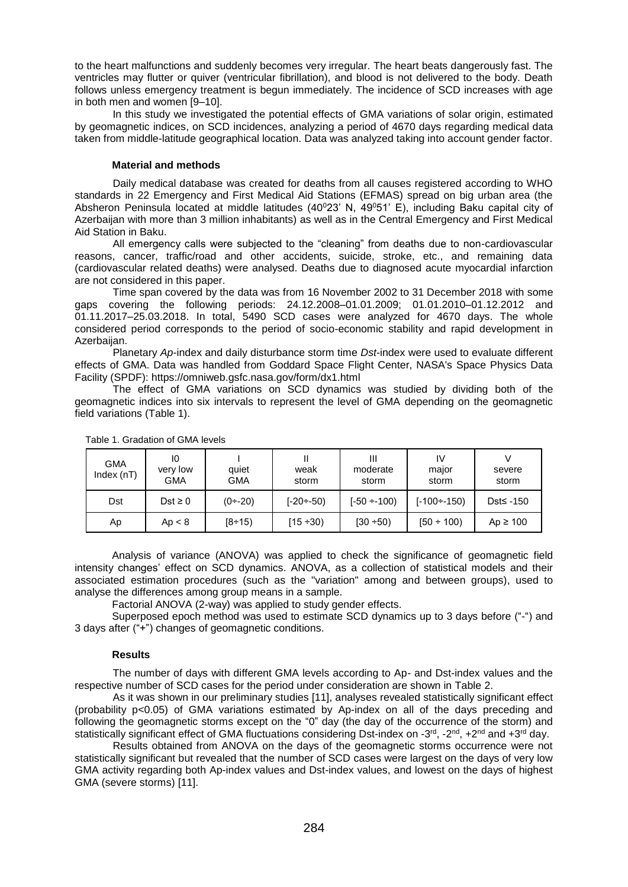to the heart malfunctions and suddenly becomes very irregular. The heart beats dangerously fast. The ventricles may flutter or quiver (ventricular fibrillation), and blood is not delivered to the body. Death follows unless emergency treatment is begun immediately. The incidence of SCD increases with age in both men and women [9–10].

In this study we investigated the potential effects of GMA variations of solar origin, estimated by geomagnetic indices, on SCD incidences, analyzing a period of 4670 days regarding medical data taken from middle-latitude geographical location. Data was analyzed taking into account gender factor.

### **Material and methods**

Daily medical database was created for deaths from all causes registered according to WHO standards in 22 Emergency and First Medical Aid Stations (EFMAS) spread on big urban area (the Absheron Peninsula located at middle latitudes  $(40^{\circ}23' \text{ N}, 49^{\circ}51' \text{ E})$ , including Baku capital city of Azerbaijan with more than 3 million inhabitants) as well as in the Central Emergency and First Medical Aid Station in Baku.

All emergency calls were subjected to the "cleaning" from deaths due to non-cardiovascular reasons, cancer, traffic/road and other accidents, suicide, stroke, etc., and remaining data (cardiovascular related deaths) were analysed. Deaths due to diagnosed acute myocardial infarction are not considered in this paper.

Time span covered by the data was from 16 November 2002 to 31 December 2018 with some gaps covering the following periods: 24.12.2008–01.01.2009; 01.01.2010–01.12.2012 and 01.11.2017–25.03.2018. In total, 5490 SCD cases were analyzed for 4670 days. The whole considered period corresponds to the period of socio-economic stability and rapid development in Azerbaijan.

Planetary *Ap*-index and daily disturbance storm time *Dst*-index were used to evaluate different effects of GMA. Data was handled from Goddard Space Flight Center, NASA's Space Physics Data Facility (SPDF):<https://omniweb.gsfc.nasa.gov/form/dx1.html>

The effect of GMA variations on SCD dynamics was studied by dividing both of the geomagnetic indices into six intervals to represent the level of GMA depending on the geomagnetic field variations (Table 1).

| GMA<br>Index $(nT)$ | 10<br>very low<br>GMA | quiet<br>GMA | weak<br>storm | Ш<br>moderate<br>storm | IV<br>major<br>storm | severe<br>storm |
|---------------------|-----------------------|--------------|---------------|------------------------|----------------------|-----------------|
| Dst                 | Dst $\geq 0$          | $(0 - 20)$   | [-20÷-50)     | $[-50 \div 100)$       | $[-100 \div 150)$    | Dst≤ -150       |
| Аp                  | Ap < 8                | $[8 - 15)$   | $(15 - 30)$   | $[30 + 50]$            | $[50 \div 100)$      | Ap $\geq 100$   |

Table 1. Gradation of GMA levels

Analysis of variance (ANOVA) was applied to check the significance of geomagnetic field intensity changes' effect on SCD dynamics. ANOVA, as a collection of statistical models and their associated estimation procedures (such as the "variation" among and between groups), used to analyse the differences among group means in a sample.

Factorial ANOVA (2-way) was applied to study gender effects.

Superposed epoch method was used to estimate SCD dynamics up to 3 days before ("-") and 3 days after ("+") changes of geomagnetic conditions.

### **Results**

The number of days with different GMA levels according to Ap- and Dst-index values and the respective number of SCD cases for the period under consideration are shown in Table 2.

As it was shown in our preliminary studies [11], analyses revealed statistically significant effect (probability p<0.05) of GMA variations estimated by Ap-index on all of the days preceding and following the geomagnetic storms except on the "0" day (the day of the occurrence of the storm) and statistically significant effect of GMA fluctuations considering Dst-index on -3<sup>rd</sup>, -2<sup>nd</sup>, +2<sup>nd</sup> and +3<sup>rd</sup> day.

Results obtained from ANOVA on the days of the geomagnetic storms occurrence were not statistically significant but revealed that the number of SCD cases were largest on the days of very low GMA activity regarding both Ap-index values and Dst-index values, and lowest on the days of highest GMA (severe storms) [11].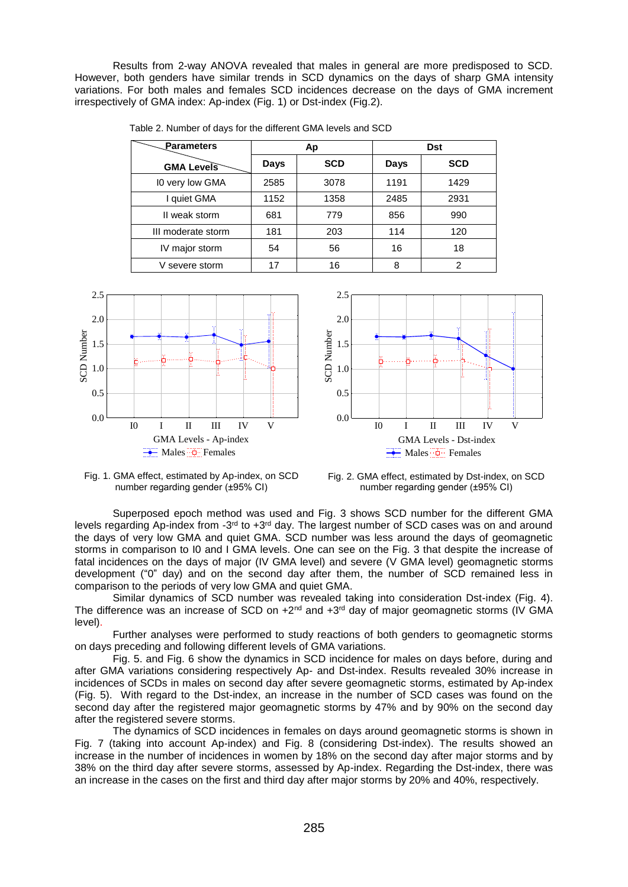Results from 2-way ANOVA revealed that males in general are more predisposed to SCD. However, both genders have similar trends in SCD dynamics on the days of sharp GMA intensity variations. For both males and females SCD incidences decrease on the days of GMA increment irrespectively of GMA index: Ap-index (Fig. 1) or Dst-index (Fig.2).

| Parameters         |             | Ap         | <b>Dst</b> |            |
|--------------------|-------------|------------|------------|------------|
| <b>GMA Levels</b>  | <b>Days</b> | <b>SCD</b> | Days       | <b>SCD</b> |
| 10 very low GMA    | 2585        | 3078       | 1191       | 1429       |
| I quiet GMA        | 1152        | 1358       | 2485       | 2931       |
| II weak storm      | 681         | 779        | 856        | 990        |
| III moderate storm | 181         | 203        | 114        | 120        |
| IV major storm     | 54          | 56         | 16         | 18         |
| V severe storm     | 17          | 16         | 8          | 2          |

Table 2. Number of days for the different GMA levels and SCD





Fig. 1. GMA effect, estimated by Ap-index, on SCD number regarding gender (±95% CI)



Superposed epoch method was used and Fig. 3 shows SCD number for the different GMA levels regarding Ap-index from -3<sup>rd</sup> to +3<sup>rd</sup> day. The largest number of SCD cases was on and around the days of very low GMA and quiet GMA. SCD number was less around the days of geomagnetic storms in comparison to I0 and I GMA levels. One can see on the Fig. 3 that despite the increase of fatal incidences on the days of major (IV GMA level) and severe (V GMA level) geomagnetic storms development ("0" day) and on the second day after them, the number of SCD remained less in comparison to the periods of very low GMA and quiet GMA.

Similar dynamics of SCD number was revealed taking into consideration Dst-index (Fig. 4). The difference was an increase of SCD on  $+2^{nd}$  and  $+3^{rd}$  day of major geomagnetic storms (IV GMA level).

Further analyses were performed to study reactions of both genders to geomagnetic storms on days preceding and following different levels of GMA variations.

Fig. 5. and Fig. 6 show the dynamics in SCD incidence for males on days before, during and after GMA variations considering respectively Ap- and Dst-index. Results revealed 30% increase in incidences of SCDs in males on second day after severe geomagnetic storms, estimated by Ap-index (Fig. 5). With regard to the Dst-index, an increase in the number of SCD cases was found on the second day after the registered major geomagnetic storms by 47% and by 90% on the second day after the registered severe storms.

The dynamics of SCD incidences in females on days around geomagnetic storms is shown in Fig. 7 (taking into account Ap-index) and Fig. 8 (considering Dst-index). The results showed an increase in the number of incidences in women by 18% on the second day after major storms and by 38% on the third day after severe storms, assessed by Ap-index. Regarding the Dst-index, there was an increase in the cases on the first and third day after major storms by 20% and 40%, respectively.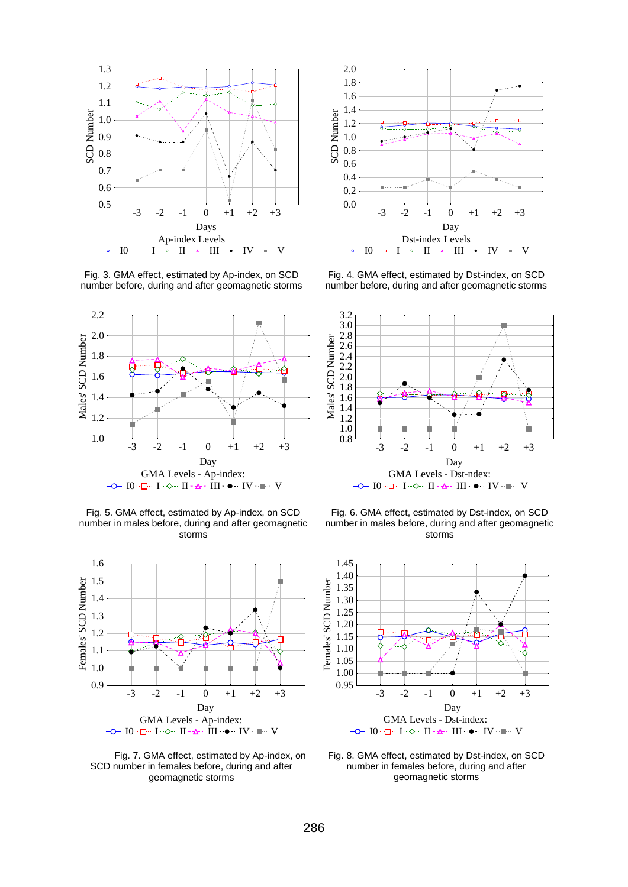

Fig. 3. GMA effect, estimated by Ap-index, on SCD number before, during and after geomagnetic storms



Fig. 5. GMA effect, estimated by Ap-index, on SCD number in males before, during and after geomagnetic storms



Fig. 7. GMA effect, estimated by Ap-index, on SCD number in females before, during and after geomagnetic storms



Fig. 4. GMA effect, estimated by Dst-index, on SCD number before, during and after geomagnetic storms



Fig. 6. GMA effect, estimated by Dst-index, on SCD number in males before, during and after geomagnetic storms